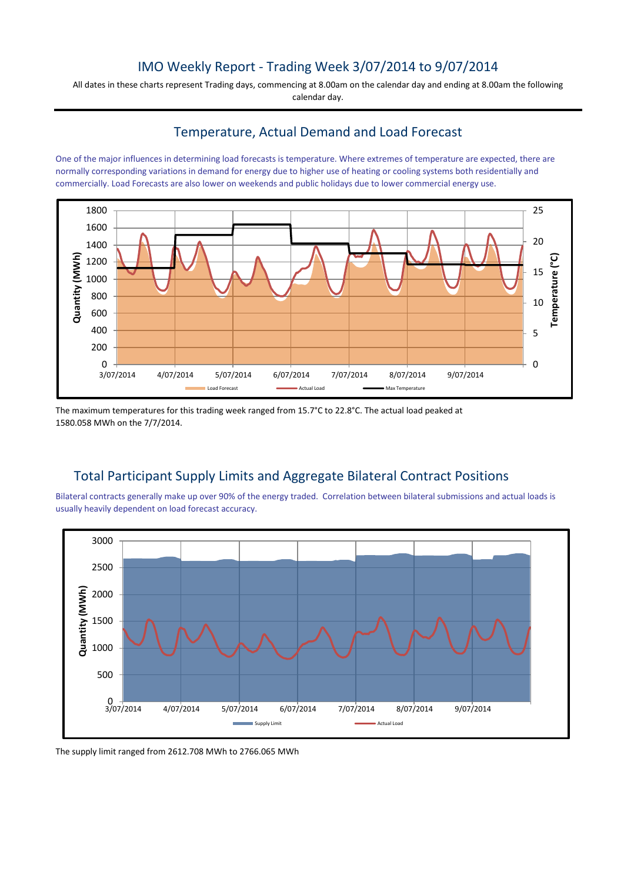## IMO Weekly Report - Trading Week 3/07/2014 to 9/07/2014

All dates in these charts represent Trading days, commencing at 8.00am on the calendar day and ending at 8.00am the following calendar day.

#### Temperature, Actual Demand and Load Forecast

One of the major influences in determining load forecasts is temperature. Where extremes of temperature are expected, there are normally corresponding variations in demand for energy due to higher use of heating or cooling systems both residentially and commercially. Load Forecasts are also lower on weekends and public holidays due to lower commercial energy use.



The maximum temperatures for this trading week ranged from 15.7°C to 22.8°C. The actual load peaked at 1580.058 MWh on the 7/7/2014.

# Total Participant Supply Limits and Aggregate Bilateral Contract Positions

Bilateral contracts generally make up over 90% of the energy traded. Correlation between bilateral submissions and actual loads is usually heavily dependent on load forecast accuracy.



The supply limit ranged from 2612.708 MWh to 2766.065 MWh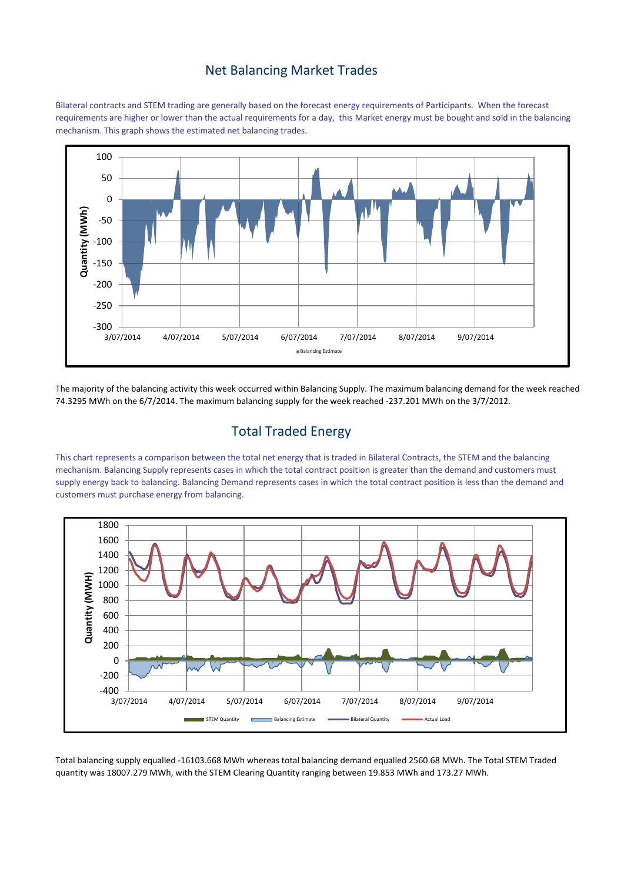#### Net Balancing Market Trades

Bilateral contracts and STEM trading are generally based on the forecast energy requirements of Participants. When the forecast requirements are higher or lower than the actual requirements for a day, this Market energy must be bought and sold in the balancing mechanism. This graph shows the estimated net balancing trades.



The majority of the balancing activity this week occurred within Balancing Supply. The maximum balancing demand for the week reached 74.3295 MWh on the 6/7/2014. The maximum balancing supply for the week reached -237.201 MWh on the 3/7/2012.

# Total Traded Energy

This chart represents a comparison between the total net energy that is traded in Bilateral Contracts, the STEM and the balancing mechanism. Balancing Supply represents cases in which the total contract position is greater than the demand and customers must supply energy back to balancing. Balancing Demand represents cases in which the total contract position is less than the demand and customers must purchase energy from balancing.



Total balancing supply equalled -16103.668 MWh whereas total balancing demand equalled 2560.68 MWh. The Total STEM Traded quantity was 18007.279 MWh, with the STEM Clearing Quantity ranging between 19.853 MWh and 173.27 MWh.